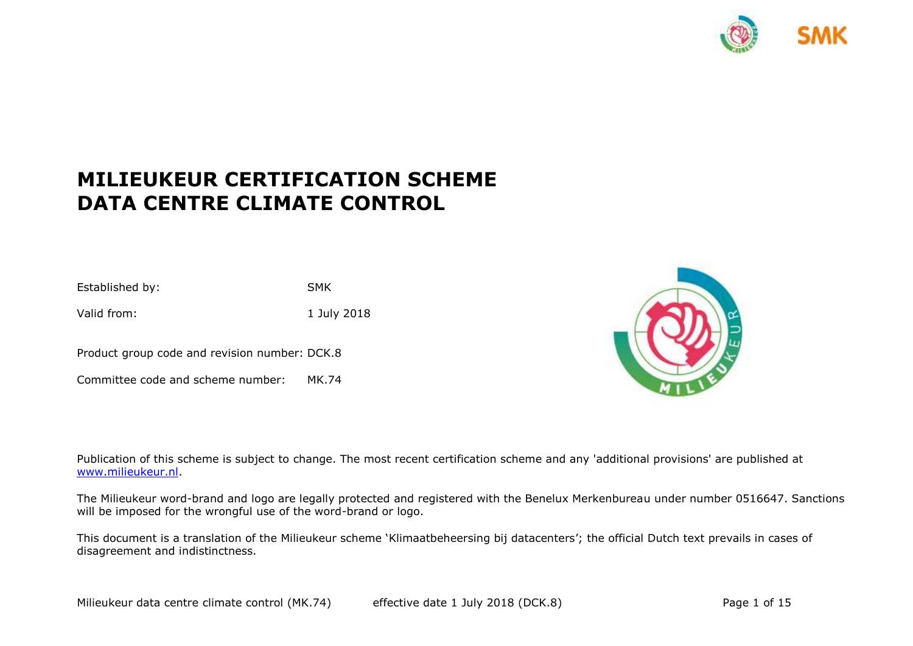

# **MILIEUKEUR CERTIFICATION SCHEME DATA CENTRE CLIMATE CONTROL**

Established by: SMK Valid from: 1 July 2018

Product group code and revision number: DCK.8

Committee code and scheme number: MK.74



Publication of this scheme is subject to change. The most recent certification scheme and any 'additional provisions' are published at [www.milieukeur.nl.](http://www.milieukeur.nl/)

The Milieukeur word-brand and logo are legally protected and registered with the Benelux Merkenbureau under number 0516647. Sanctions will be imposed for the wrongful use of the word-brand or logo.

This document is a translation of the Milieukeur scheme 'Klimaatbeheersing bij datacenters'; the official Dutch text prevails in cases of disagreement and indistinctness.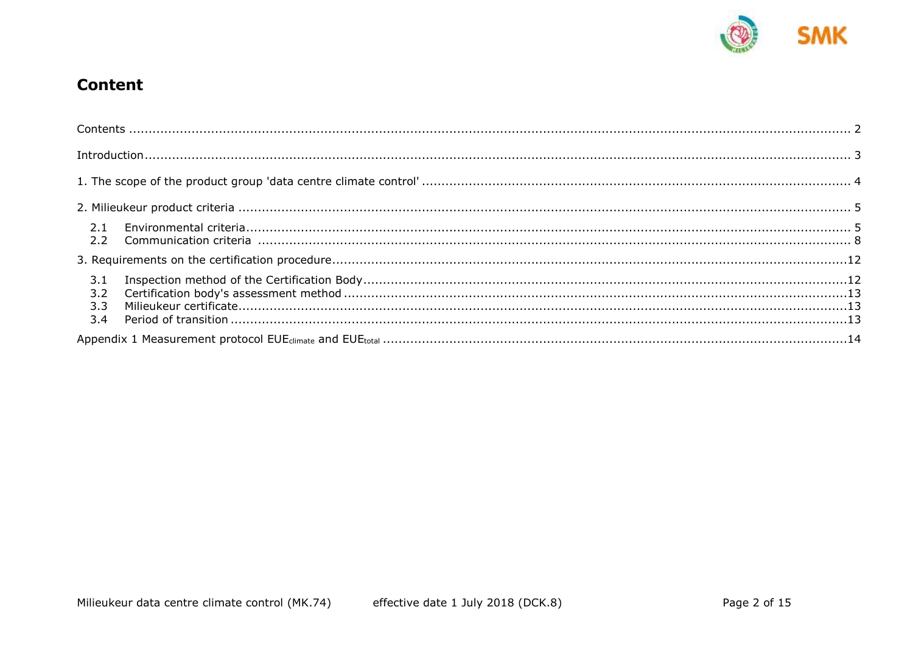

## <span id="page-1-0"></span>**Content**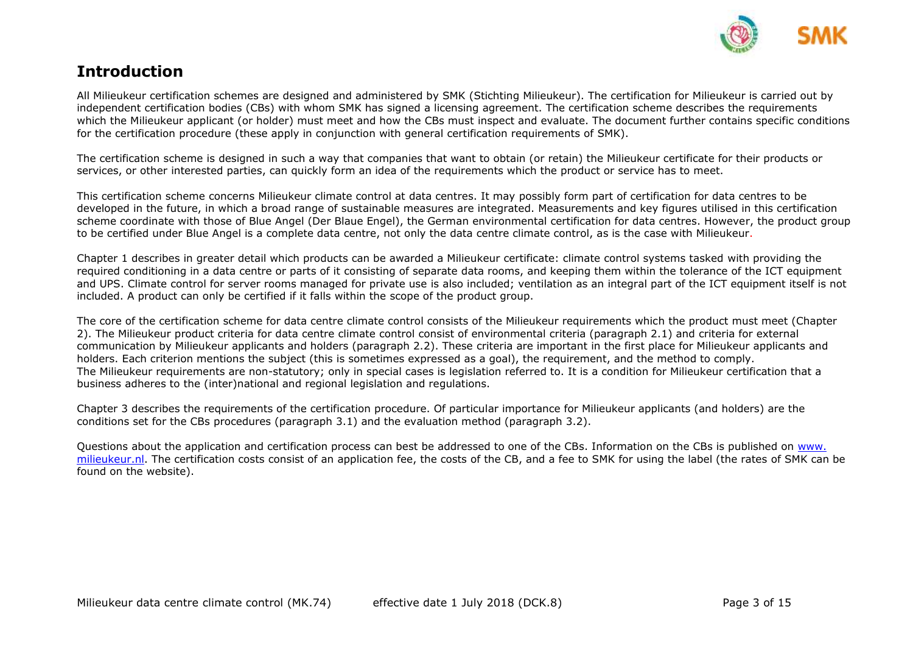

## <span id="page-2-0"></span>**Introduction**

All Milieukeur certification schemes are designed and administered by SMK (Stichting Milieukeur). The certification for Milieukeur is carried out by independent certification bodies (CBs) with whom SMK has signed a licensing agreement. The certification scheme describes the requirements which the Milieukeur applicant (or holder) must meet and how the CBs must inspect and evaluate. The document further contains specific conditions for the certification procedure (these apply in conjunction with general certification requirements of SMK).

The certification scheme is designed in such a way that companies that want to obtain (or retain) the Milieukeur certificate for their products or services, or other interested parties, can quickly form an idea of the requirements which the product or service has to meet.

This certification scheme concerns Milieukeur climate control at data centres. It may possibly form part of certification for data centres to be developed in the future, in which a broad range of sustainable measures are integrated. Measurements and key figures utilised in this certification scheme coordinate with those of Blue Angel (Der Blaue Engel), the German environmental certification for data centres. However, the product group to be certified under Blue Angel is a complete data centre, not only the data centre climate control, as is the case with Milieukeur.

Chapter 1 describes in greater detail which products can be awarded a Milieukeur certificate: climate control systems tasked with providing the required conditioning in a data centre or parts of it consisting of separate data rooms, and keeping them within the tolerance of the ICT equipment and UPS. Climate control for server rooms managed for private use is also included; ventilation as an integral part of the ICT equipment itself is not included. A product can only be certified if it falls within the scope of the product group.

The core of the certification scheme for data centre climate control consists of the Milieukeur requirements which the product must meet (Chapter 2). The Milieukeur product criteria for data centre climate control consist of environmental criteria (paragraph 2.1) and criteria for external communication by Milieukeur applicants and holders (paragraph 2.2). These criteria are important in the first place for Milieukeur applicants and holders. Each criterion mentions the subject (this is sometimes expressed as a goal), the requirement, and the method to comply. The Milieukeur requirements are non-statutory; only in special cases is legislation referred to. It is a condition for Milieukeur certification that a business adheres to the (inter)national and regional legislation and regulations.

Chapter 3 describes the requirements of the certification procedure. Of particular importance for Milieukeur applicants (and holders) are the conditions set for the CBs procedures (paragraph 3.1) and the evaluation method (paragraph 3.2).

Questions about the application and certification process can best be addressed to one of the CBs. Information on the CBs is published on [www.](http://www.smk.nl/) [milieukeur.nl.](http://www.smk.nl/) The certification costs consist of an application fee, the costs of the CB, and a fee to SMK for using the label (the rates of SMK can be found on the website).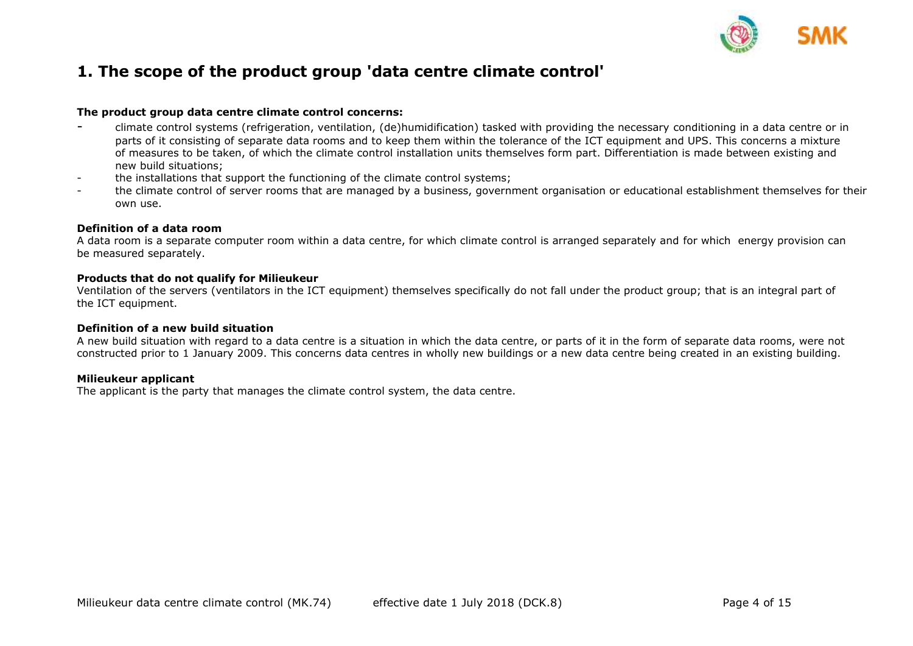

### <span id="page-3-0"></span>**1. The scope of the product group 'data centre climate control'**

#### **The product group data centre climate control concerns:**

- climate control systems (refrigeration, ventilation, (de)humidification) tasked with providing the necessary conditioning in a data centre or in parts of it consisting of separate data rooms and to keep them within the tolerance of the ICT equipment and UPS. This concerns a mixture of measures to be taken, of which the climate control installation units themselves form part. Differentiation is made between existing and new build situations;
- the installations that support the functioning of the climate control systems;
- the climate control of server rooms that are managed by a business, government organisation or educational establishment themselves for their own use.

#### **Definition of a data room**

A data room is a separate computer room within a data centre, for which climate control is arranged separately and for which energy provision can be measured separately.

#### **Products that do not qualify for Milieukeur**

Ventilation of the servers (ventilators in the ICT equipment) themselves specifically do not fall under the product group; that is an integral part of the ICT equipment.

#### **Definition of a new build situation**

A new build situation with regard to a data centre is a situation in which the data centre, or parts of it in the form of separate data rooms, were not constructed prior to 1 January 2009. This concerns data centres in wholly new buildings or a new data centre being created in an existing building.

### **Milieukeur applicant**

The applicant is the party that manages the climate control system, the data centre.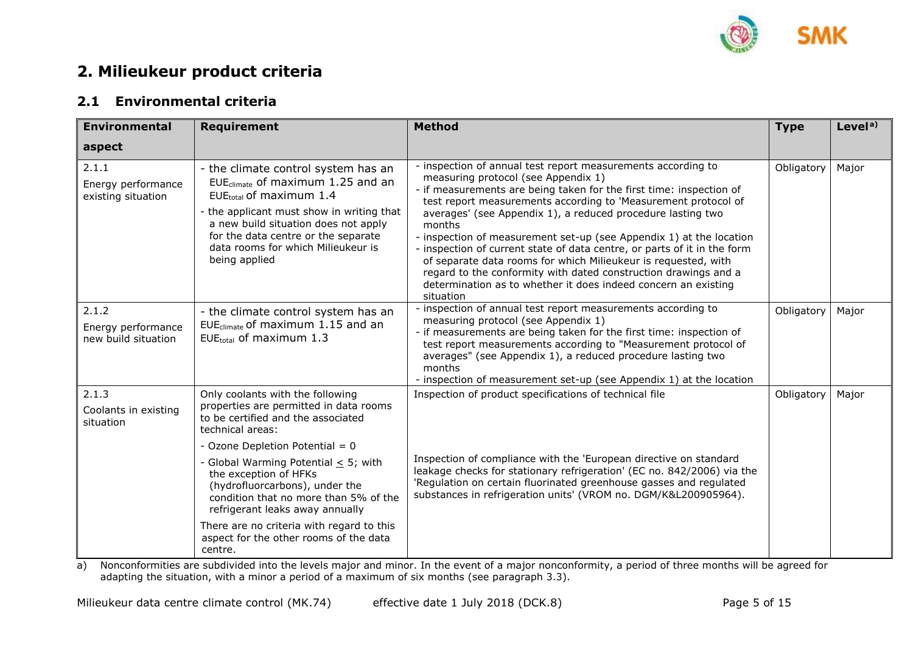

## <span id="page-4-0"></span>**2. Milieukeur product criteria**

### <span id="page-4-1"></span>**2.1 Environmental criteria**

| <b>Environmental</b>                               | <b>Requirement</b>                                                                                                                                                                                                                                                                                     | <b>Method</b>                                                                                                                                                                                                                                                                                                                                                                                                                                                                                                                                                                                                                                                                                | <b>Type</b> | Level <sup>a)</sup> |
|----------------------------------------------------|--------------------------------------------------------------------------------------------------------------------------------------------------------------------------------------------------------------------------------------------------------------------------------------------------------|----------------------------------------------------------------------------------------------------------------------------------------------------------------------------------------------------------------------------------------------------------------------------------------------------------------------------------------------------------------------------------------------------------------------------------------------------------------------------------------------------------------------------------------------------------------------------------------------------------------------------------------------------------------------------------------------|-------------|---------------------|
| aspect                                             |                                                                                                                                                                                                                                                                                                        |                                                                                                                                                                                                                                                                                                                                                                                                                                                                                                                                                                                                                                                                                              |             |                     |
| 2.1.1<br>Energy performance<br>existing situation  | - the climate control system has an<br>EUE <sub>climate</sub> of maximum $1.25$ and an<br>$EUEtotal$ of maximum 1.4<br>- the applicant must show in writing that<br>a new build situation does not apply<br>for the data centre or the separate<br>data rooms for which Milieukeur is<br>being applied | - inspection of annual test report measurements according to<br>measuring protocol (see Appendix 1)<br>- if measurements are being taken for the first time: inspection of<br>test report measurements according to 'Measurement protocol of<br>averages' (see Appendix 1), a reduced procedure lasting two<br>months<br>- inspection of measurement set-up (see Appendix 1) at the location<br>- inspection of current state of data centre, or parts of it in the form<br>of separate data rooms for which Milieukeur is requested, with<br>regard to the conformity with dated construction drawings and a<br>determination as to whether it does indeed concern an existing<br>situation | Obligatory  | Major               |
| 2.1.2<br>Energy performance<br>new build situation | - the climate control system has an<br>EUE <sub>climate</sub> of maximum $1.15$ and an<br>EUEtotal of maximum 1.3                                                                                                                                                                                      | - inspection of annual test report measurements according to<br>measuring protocol (see Appendix 1)<br>- if measurements are being taken for the first time: inspection of<br>test report measurements according to "Measurement protocol of<br>averages" (see Appendix 1), a reduced procedure lasting two<br>months<br>- inspection of measurement set-up (see Appendix 1) at the location                                                                                                                                                                                                                                                                                                 | Obligatory  | Major               |
| 2.1.3<br>Coolants in existing<br>situation         | Only coolants with the following<br>properties are permitted in data rooms<br>to be certified and the associated<br>technical areas:<br>- Ozone Depletion Potential = 0                                                                                                                                | Inspection of product specifications of technical file                                                                                                                                                                                                                                                                                                                                                                                                                                                                                                                                                                                                                                       | Obligatory  | Major               |
|                                                    | - Global Warming Potential $\leq$ 5; with<br>the exception of HFKs<br>(hydrofluorcarbons), under the<br>condition that no more than 5% of the<br>refrigerant leaks away annually                                                                                                                       | Inspection of compliance with the 'European directive on standard<br>leakage checks for stationary refrigeration' (EC no. 842/2006) via the<br>'Regulation on certain fluorinated greenhouse gasses and regulated<br>substances in refrigeration units' (VROM no. DGM/K&L200905964).                                                                                                                                                                                                                                                                                                                                                                                                         |             |                     |
|                                                    | There are no criteria with regard to this<br>aspect for the other rooms of the data<br>centre.                                                                                                                                                                                                         |                                                                                                                                                                                                                                                                                                                                                                                                                                                                                                                                                                                                                                                                                              |             |                     |

a) Nonconformities are subdivided into the levels major and minor. In the event of a major nonconformity, a period of three months will be agreed for adapting the situation, with a minor a period of a maximum of six months (see paragraph 3.3).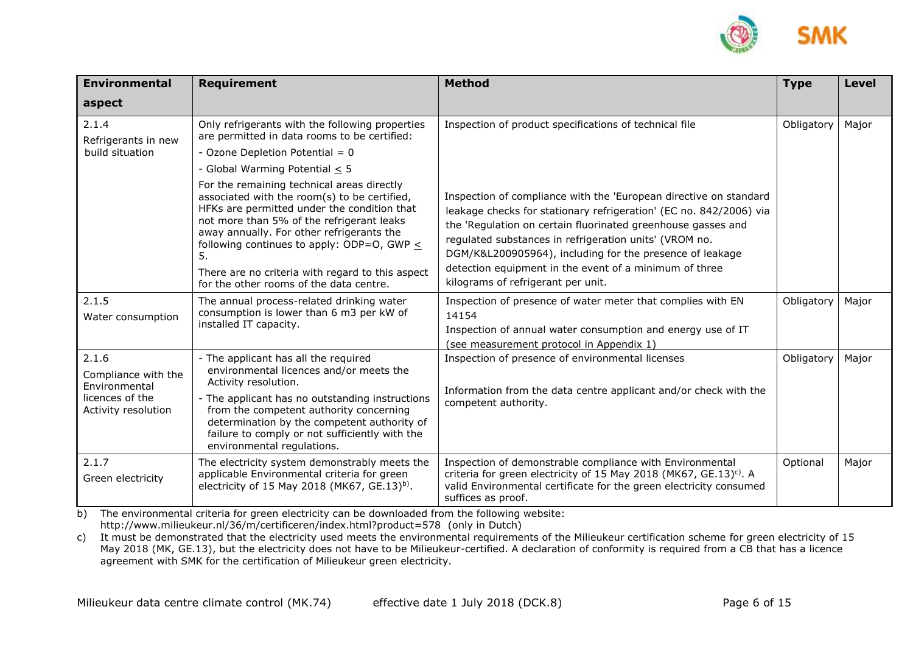

| <b>Environmental</b>                   | <b>Requirement</b>                                                                                                                                                                                                                                                                                                                                                                          | <b>Method</b>                                                                                                                                                                                                                                                                                                                                                                                                                 | <b>Type</b> | <b>Level</b> |
|----------------------------------------|---------------------------------------------------------------------------------------------------------------------------------------------------------------------------------------------------------------------------------------------------------------------------------------------------------------------------------------------------------------------------------------------|-------------------------------------------------------------------------------------------------------------------------------------------------------------------------------------------------------------------------------------------------------------------------------------------------------------------------------------------------------------------------------------------------------------------------------|-------------|--------------|
| aspect                                 |                                                                                                                                                                                                                                                                                                                                                                                             |                                                                                                                                                                                                                                                                                                                                                                                                                               |             |              |
| 2.1.4<br>Refrigerants in new           | Only refrigerants with the following properties<br>are permitted in data rooms to be certified:                                                                                                                                                                                                                                                                                             | Inspection of product specifications of technical file                                                                                                                                                                                                                                                                                                                                                                        | Obligatory  | Major        |
| build situation                        | - Ozone Depletion Potential = $0$                                                                                                                                                                                                                                                                                                                                                           |                                                                                                                                                                                                                                                                                                                                                                                                                               |             |              |
|                                        | - Global Warming Potential < 5                                                                                                                                                                                                                                                                                                                                                              |                                                                                                                                                                                                                                                                                                                                                                                                                               |             |              |
|                                        | For the remaining technical areas directly<br>associated with the room(s) to be certified,<br>HFKs are permitted under the condition that<br>not more than 5% of the refrigerant leaks<br>away annually. For other refrigerants the<br>following continues to apply: ODP=0, GWP $\leq$<br>5.<br>There are no criteria with regard to this aspect<br>for the other rooms of the data centre. | Inspection of compliance with the 'European directive on standard<br>leakage checks for stationary refrigeration' (EC no. 842/2006) via<br>the 'Regulation on certain fluorinated greenhouse gasses and<br>regulated substances in refrigeration units' (VROM no.<br>DGM/K&L200905964), including for the presence of leakage<br>detection equipment in the event of a minimum of three<br>kilograms of refrigerant per unit. |             |              |
| 2.1.5                                  | The annual process-related drinking water                                                                                                                                                                                                                                                                                                                                                   | Inspection of presence of water meter that complies with EN                                                                                                                                                                                                                                                                                                                                                                   | Obligatory  | Major        |
| Water consumption                      | consumption is lower than 6 m3 per kW of<br>installed IT capacity.                                                                                                                                                                                                                                                                                                                          | 14154                                                                                                                                                                                                                                                                                                                                                                                                                         |             |              |
|                                        |                                                                                                                                                                                                                                                                                                                                                                                             | Inspection of annual water consumption and energy use of IT                                                                                                                                                                                                                                                                                                                                                                   |             |              |
| 2.1.6                                  |                                                                                                                                                                                                                                                                                                                                                                                             | (see measurement protocol in Appendix 1)<br>Obligatory                                                                                                                                                                                                                                                                                                                                                                        |             |              |
| Compliance with the<br>Environmental   | - The applicant has all the required<br>environmental licences and/or meets the<br>Activity resolution.                                                                                                                                                                                                                                                                                     | Inspection of presence of environmental licenses<br>Information from the data centre applicant and/or check with the<br>competent authority.                                                                                                                                                                                                                                                                                  |             | Major        |
| licences of the<br>Activity resolution | - The applicant has no outstanding instructions<br>from the competent authority concerning<br>determination by the competent authority of<br>failure to comply or not sufficiently with the<br>environmental regulations.                                                                                                                                                                   |                                                                                                                                                                                                                                                                                                                                                                                                                               |             |              |
| 2.1.7<br>Green electricity             | The electricity system demonstrably meets the<br>applicable Environmental criteria for green<br>electricity of 15 May 2018 (MK67, GE.13) <sup>b)</sup> .                                                                                                                                                                                                                                    | Inspection of demonstrable compliance with Environmental<br>criteria for green electricity of 15 May 2018 (MK67, GE.13) <sup>c)</sup> . A<br>valid Environmental certificate for the green electricity consumed<br>suffices as proof.                                                                                                                                                                                         | Optional    | Major        |

b) The environmental criteria for green electricity can be downloaded from the following website: http://www.milieukeur.nl/36/m/certificeren/index.html?product=578 (only in Dutch)

c) It must be demonstrated that the electricity used meets the environmental requirements of the Milieukeur certification scheme for green electricity of 15 May 2018 (MK, GE.13), but the electricity does not have to be Milieukeur-certified. A declaration of conformity is required from a CB that has a licence agreement with SMK for the certification of Milieukeur green electricity.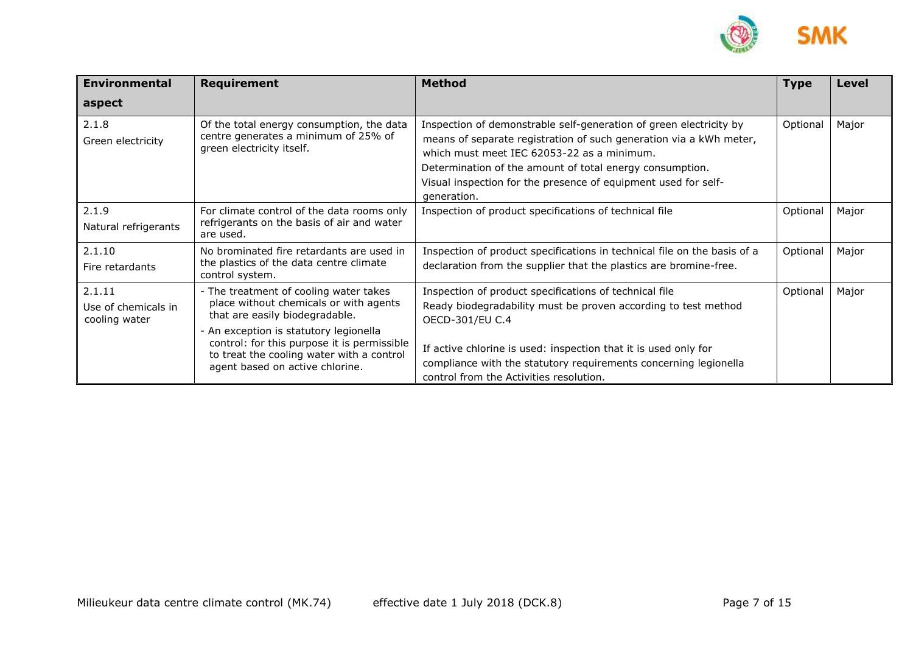

| <b>Environmental</b>                           | Requirement                                                                                                                                                                                                                                                                                 | <b>Method</b>                                                                                                                                                                                                                                                                                                                       | <b>Type</b> | <b>Level</b> |
|------------------------------------------------|---------------------------------------------------------------------------------------------------------------------------------------------------------------------------------------------------------------------------------------------------------------------------------------------|-------------------------------------------------------------------------------------------------------------------------------------------------------------------------------------------------------------------------------------------------------------------------------------------------------------------------------------|-------------|--------------|
| aspect                                         |                                                                                                                                                                                                                                                                                             |                                                                                                                                                                                                                                                                                                                                     |             |              |
| 2.1.8<br>Green electricity                     | Of the total energy consumption, the data<br>centre generates a minimum of 25% of<br>green electricity itself.                                                                                                                                                                              | Inspection of demonstrable self-generation of green electricity by<br>means of separate registration of such generation via a kWh meter,<br>which must meet IEC 62053-22 as a minimum.<br>Determination of the amount of total energy consumption.<br>Visual inspection for the presence of equipment used for self-<br>generation. | Optional    | Major        |
| 2.1.9<br>Natural refrigerants                  | For climate control of the data rooms only<br>refrigerants on the basis of air and water<br>are used.                                                                                                                                                                                       | Inspection of product specifications of technical file                                                                                                                                                                                                                                                                              |             | Major        |
| 2.1.10<br>Fire retardants                      | No brominated fire retardants are used in<br>the plastics of the data centre climate<br>control system.                                                                                                                                                                                     | Inspection of product specifications in technical file on the basis of a<br>declaration from the supplier that the plastics are bromine-free.                                                                                                                                                                                       |             | Major        |
| 2.1.11<br>Use of chemicals in<br>cooling water | - The treatment of cooling water takes<br>place without chemicals or with agents<br>that are easily biodegradable.<br>- An exception is statutory legionella<br>control: for this purpose it is permissible<br>to treat the cooling water with a control<br>agent based on active chlorine. | Inspection of product specifications of technical file<br>Ready biodegradability must be proven according to test method<br>OECD-301/EU C.4<br>If active chlorine is used: inspection that it is used only for<br>compliance with the statutory requirements concerning legionella<br>control from the Activities resolution.       | Optional    | Major        |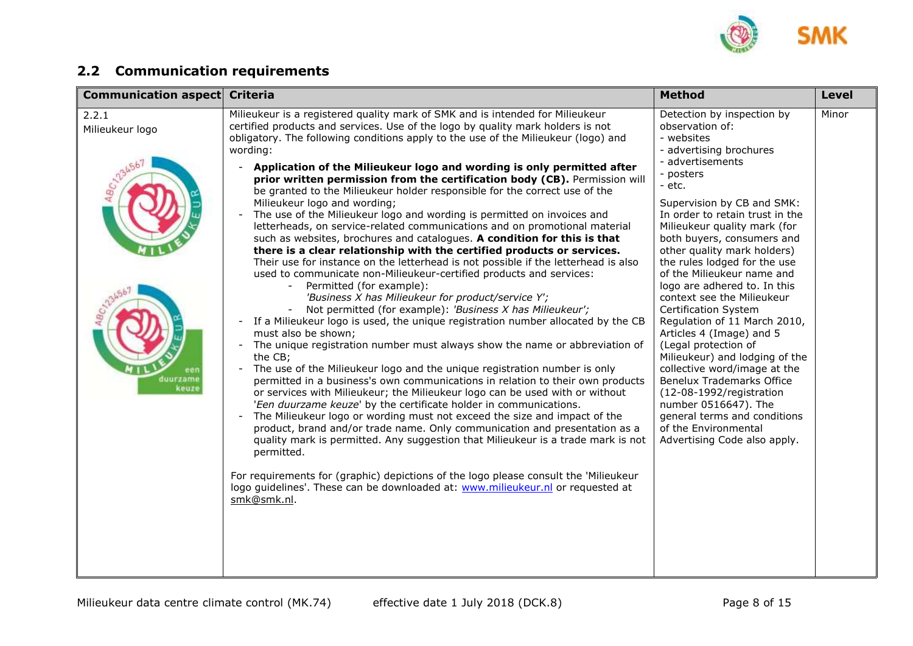

## <span id="page-7-0"></span>**2.2 Communication requirements**

| <b>Communication aspect</b>                   | <b>Criteria</b>                                                                                                                                                                                                                                                                                                                                                                                                                                                                                                                                                                                                                                                                                                                                                                                                                                                                                                                                                                                                                                                                                                                                                                                                                                                                                                                                                                                                                                                                                                                                                                                                                                                                                                                                                                                                                                                                                                                                                                                                                                                                                                                                                       | <b>Method</b>                                                                                                                                                                                                                                                                                                                                                                                                                                                                                                                                                                                                                                                                                                                                                                             | <b>Level</b> |
|-----------------------------------------------|-----------------------------------------------------------------------------------------------------------------------------------------------------------------------------------------------------------------------------------------------------------------------------------------------------------------------------------------------------------------------------------------------------------------------------------------------------------------------------------------------------------------------------------------------------------------------------------------------------------------------------------------------------------------------------------------------------------------------------------------------------------------------------------------------------------------------------------------------------------------------------------------------------------------------------------------------------------------------------------------------------------------------------------------------------------------------------------------------------------------------------------------------------------------------------------------------------------------------------------------------------------------------------------------------------------------------------------------------------------------------------------------------------------------------------------------------------------------------------------------------------------------------------------------------------------------------------------------------------------------------------------------------------------------------------------------------------------------------------------------------------------------------------------------------------------------------------------------------------------------------------------------------------------------------------------------------------------------------------------------------------------------------------------------------------------------------------------------------------------------------------------------------------------------------|-------------------------------------------------------------------------------------------------------------------------------------------------------------------------------------------------------------------------------------------------------------------------------------------------------------------------------------------------------------------------------------------------------------------------------------------------------------------------------------------------------------------------------------------------------------------------------------------------------------------------------------------------------------------------------------------------------------------------------------------------------------------------------------------|--------------|
| 2.2.1<br>Milieukeur logo<br>duurzame<br>keuze | Milieukeur is a registered quality mark of SMK and is intended for Milieukeur<br>certified products and services. Use of the logo by quality mark holders is not<br>obligatory. The following conditions apply to the use of the Milieukeur (logo) and<br>wording:<br>Application of the Milieukeur logo and wording is only permitted after<br>prior written permission from the certification body (CB). Permission will<br>be granted to the Milieukeur holder responsible for the correct use of the<br>Milieukeur logo and wording;<br>The use of the Milieukeur logo and wording is permitted on invoices and<br>letterheads, on service-related communications and on promotional material<br>such as websites, brochures and catalogues. A condition for this is that<br>there is a clear relationship with the certified products or services.<br>Their use for instance on the letterhead is not possible if the letterhead is also<br>used to communicate non-Milieukeur-certified products and services:<br>Permitted (for example):<br>'Business X has Milieukeur for product/service Y';<br>Not permitted (for example): 'Business X has Milieukeur';<br>If a Milieukeur logo is used, the unique registration number allocated by the CB<br>must also be shown;<br>The unique registration number must always show the name or abbreviation of<br>the CB;<br>The use of the Milieukeur logo and the unique registration number is only<br>permitted in a business's own communications in relation to their own products<br>or services with Milieukeur; the Milieukeur logo can be used with or without<br>'Een duurzame keuze' by the certificate holder in communications.<br>The Milieukeur logo or wording must not exceed the size and impact of the<br>$\blacksquare$<br>product, brand and/or trade name. Only communication and presentation as a<br>quality mark is permitted. Any suggestion that Milieukeur is a trade mark is not<br>permitted.<br>For requirements for (graphic) depictions of the logo please consult the 'Milieukeur<br>logo guidelines'. These can be downloaded at: www.milieukeur.nl or requested at<br>smk@smk.nl. | Detection by inspection by<br>observation of:<br>- websites<br>- advertising brochures<br>- advertisements<br>- posters<br>- etc.<br>Supervision by CB and SMK:<br>In order to retain trust in the<br>Milieukeur quality mark (for<br>both buyers, consumers and<br>other quality mark holders)<br>the rules lodged for the use<br>of the Milieukeur name and<br>logo are adhered to. In this<br>context see the Milieukeur<br><b>Certification System</b><br>Regulation of 11 March 2010,<br>Articles 4 (Image) and 5<br>(Legal protection of<br>Milieukeur) and lodging of the<br>collective word/image at the<br>Benelux Trademarks Office<br>(12-08-1992/registration<br>number 0516647). The<br>general terms and conditions<br>of the Environmental<br>Advertising Code also apply. | Minor        |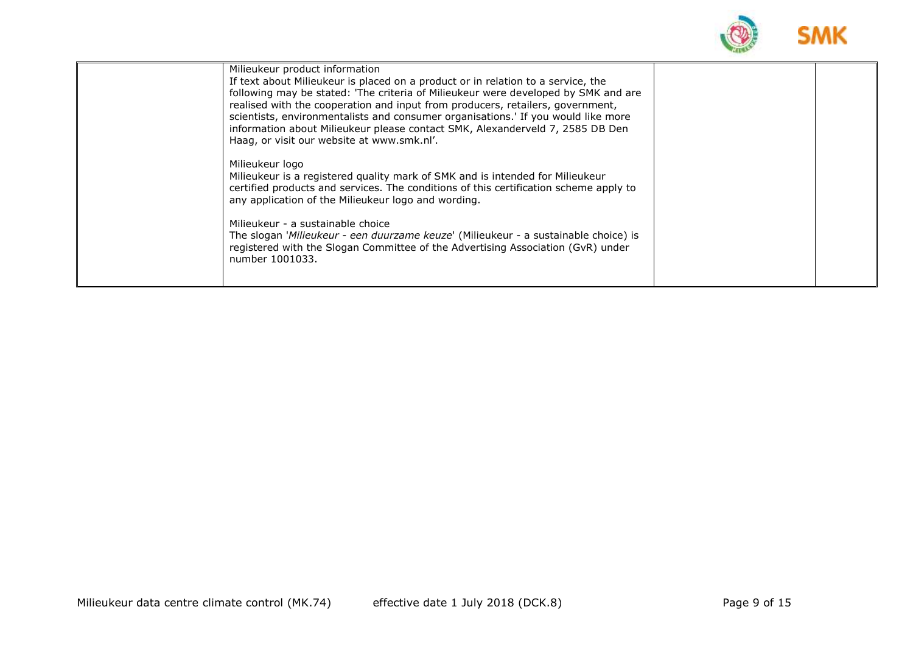

| Milieukeur product information<br>If text about Milieukeur is placed on a product or in relation to a service, the<br>following may be stated: 'The criteria of Milieukeur were developed by SMK and are<br>realised with the cooperation and input from producers, retailers, government,<br>scientists, environmentalists and consumer organisations.' If you would like more<br>information about Milieukeur please contact SMK, Alexanderveld 7, 2585 DB Den<br>Haag, or visit our website at www.smk.nl'. |  |
|----------------------------------------------------------------------------------------------------------------------------------------------------------------------------------------------------------------------------------------------------------------------------------------------------------------------------------------------------------------------------------------------------------------------------------------------------------------------------------------------------------------|--|
| Milieukeur logo<br>Milieukeur is a registered quality mark of SMK and is intended for Milieukeur<br>certified products and services. The conditions of this certification scheme apply to<br>any application of the Milieukeur logo and wording.<br>Milieukeur - a sustainable choice<br>The slogan 'Milieukeur - een duurzame keuze' (Milieukeur - a sustainable choice) is<br>registered with the Slogan Committee of the Advertising Association (GvR) under<br>number 1001033.                             |  |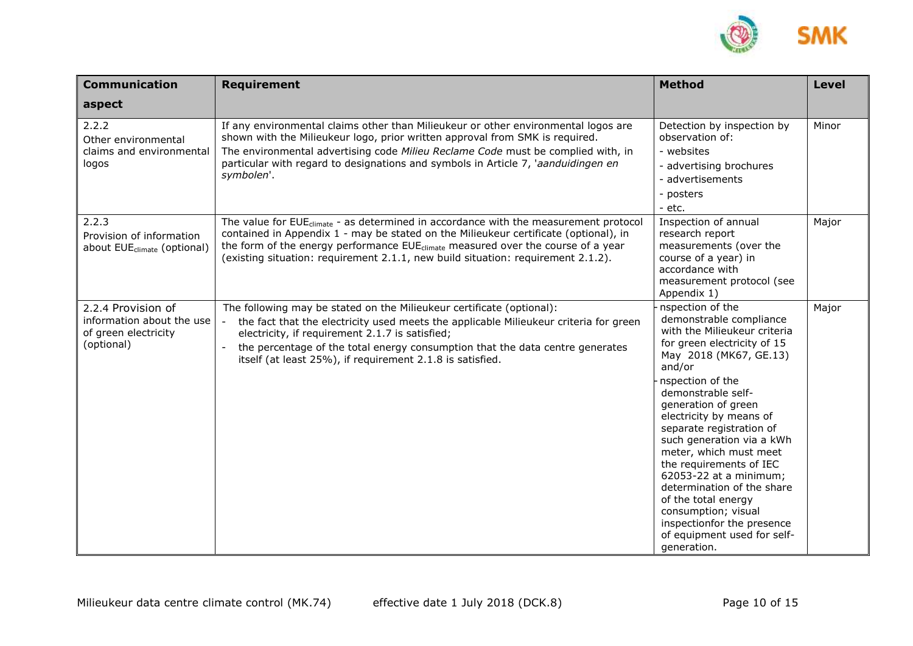

| <b>Communication</b>                                                                  | <b>Requirement</b>                                                                                                                                                                                                                                                                                                                                                           | <b>Method</b>                                                                                                                                                                                                                                                                                                                                                                                                                                                                                                                              | <b>Level</b> |
|---------------------------------------------------------------------------------------|------------------------------------------------------------------------------------------------------------------------------------------------------------------------------------------------------------------------------------------------------------------------------------------------------------------------------------------------------------------------------|--------------------------------------------------------------------------------------------------------------------------------------------------------------------------------------------------------------------------------------------------------------------------------------------------------------------------------------------------------------------------------------------------------------------------------------------------------------------------------------------------------------------------------------------|--------------|
| aspect                                                                                |                                                                                                                                                                                                                                                                                                                                                                              |                                                                                                                                                                                                                                                                                                                                                                                                                                                                                                                                            |              |
| 2.2.2<br>Other environmental<br>claims and environmental<br>logos                     | If any environmental claims other than Milieukeur or other environmental logos are<br>shown with the Milieukeur logo, prior written approval from SMK is required.<br>The environmental advertising code Milieu Reclame Code must be complied with, in<br>particular with regard to designations and symbols in Article 7, 'aanduidingen en<br>symbolen'.                    | Detection by inspection by<br>observation of:<br>- websites<br>- advertising brochures<br>- advertisements<br>- posters<br>- etc.                                                                                                                                                                                                                                                                                                                                                                                                          | Minor        |
| 2.2.3<br>Provision of information<br>about EUE <sub>climate</sub> (optional)          | The value for EUE <sub>climate</sub> - as determined in accordance with the measurement protocol<br>contained in Appendix 1 - may be stated on the Milieukeur certificate (optional), in<br>the form of the energy performance EUE <sub>climate</sub> measured over the course of a year<br>(existing situation: requirement 2.1.1, new build situation: requirement 2.1.2). | Inspection of annual<br>research report<br>measurements (over the<br>course of a year) in<br>accordance with<br>measurement protocol (see<br>Appendix 1)                                                                                                                                                                                                                                                                                                                                                                                   | Major        |
| 2.2.4 Provision of<br>information about the use<br>of green electricity<br>(optional) | The following may be stated on the Milieukeur certificate (optional):<br>the fact that the electricity used meets the applicable Milieukeur criteria for green<br>electricity, if requirement 2.1.7 is satisfied;<br>the percentage of the total energy consumption that the data centre generates<br>itself (at least 25%), if requirement 2.1.8 is satisfied.              | nspection of the<br>demonstrable compliance<br>with the Milieukeur criteria<br>for green electricity of 15<br>May 2018 (MK67, GE.13)<br>and/or<br>nspection of the<br>demonstrable self-<br>generation of green<br>electricity by means of<br>separate registration of<br>such generation via a kWh<br>meter, which must meet<br>the requirements of IEC<br>62053-22 at a minimum;<br>determination of the share<br>of the total energy<br>consumption; visual<br>inspectionfor the presence<br>of equipment used for self-<br>generation. | Major        |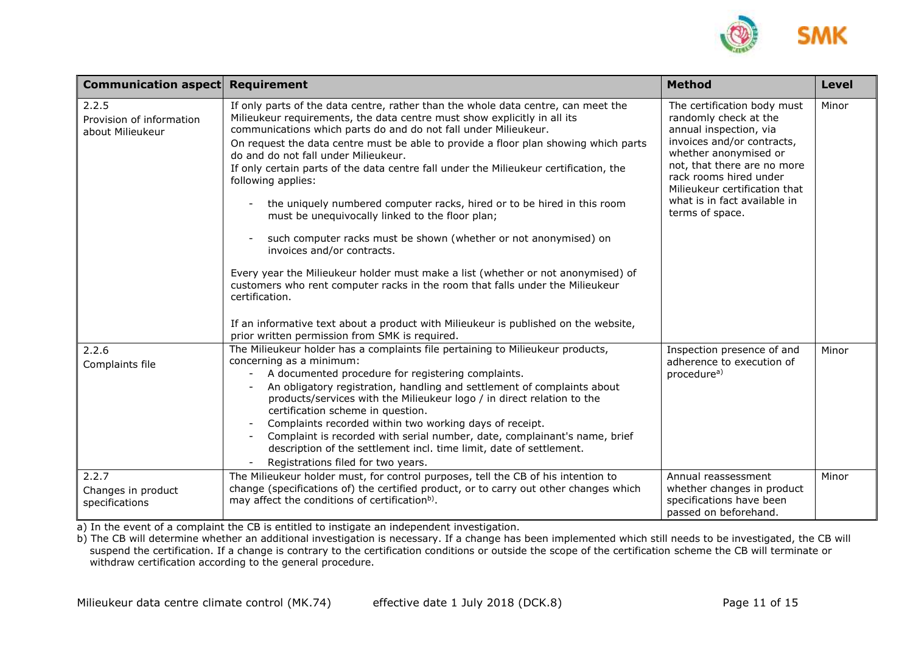

| <b>Communication aspect Requirement</b>               |                                                                                                                                                                                                                                                                                                                                                                                                                                                                                                                                                                                                                                                                                                                                                                                                                                                                                                                                                                                                                                                | <b>Method</b>                                                                                                                                                                                                                                                                      | <b>Level</b> |
|-------------------------------------------------------|------------------------------------------------------------------------------------------------------------------------------------------------------------------------------------------------------------------------------------------------------------------------------------------------------------------------------------------------------------------------------------------------------------------------------------------------------------------------------------------------------------------------------------------------------------------------------------------------------------------------------------------------------------------------------------------------------------------------------------------------------------------------------------------------------------------------------------------------------------------------------------------------------------------------------------------------------------------------------------------------------------------------------------------------|------------------------------------------------------------------------------------------------------------------------------------------------------------------------------------------------------------------------------------------------------------------------------------|--------------|
| 2.2.5<br>Provision of information<br>about Milieukeur | If only parts of the data centre, rather than the whole data centre, can meet the<br>Milieukeur requirements, the data centre must show explicitly in all its<br>communications which parts do and do not fall under Milieukeur.<br>On request the data centre must be able to provide a floor plan showing which parts<br>do and do not fall under Milieukeur.<br>If only certain parts of the data centre fall under the Milieukeur certification, the<br>following applies:<br>the uniquely numbered computer racks, hired or to be hired in this room<br>must be unequivocally linked to the floor plan;<br>such computer racks must be shown (whether or not anonymised) on<br>invoices and/or contracts.<br>Every year the Milieukeur holder must make a list (whether or not anonymised) of<br>customers who rent computer racks in the room that falls under the Milieukeur<br>certification.<br>If an informative text about a product with Milieukeur is published on the website,<br>prior written permission from SMK is required. | The certification body must<br>randomly check at the<br>annual inspection, via<br>invoices and/or contracts,<br>whether anonymised or<br>not, that there are no more<br>rack rooms hired under<br>Milieukeur certification that<br>what is in fact available in<br>terms of space. | Minor        |
| 2.2.6<br>Complaints file                              | The Milieukeur holder has a complaints file pertaining to Milieukeur products,<br>concerning as a minimum:<br>A documented procedure for registering complaints.<br>$\overline{\phantom{a}}$<br>An obligatory registration, handling and settlement of complaints about<br>$\overline{\phantom{a}}$<br>products/services with the Milieukeur logo / in direct relation to the<br>certification scheme in question.<br>Complaints recorded within two working days of receipt.<br>Complaint is recorded with serial number, date, complainant's name, brief<br>description of the settlement incl. time limit, date of settlement.<br>Registrations filed for two years.                                                                                                                                                                                                                                                                                                                                                                        | Inspection presence of and<br>adherence to execution of<br>procedure <sup>a)</sup>                                                                                                                                                                                                 | Minor        |
| 2.2.7<br>Changes in product<br>specifications         | The Milieukeur holder must, for control purposes, tell the CB of his intention to<br>change (specifications of) the certified product, or to carry out other changes which<br>may affect the conditions of certification <sup>b)</sup> .                                                                                                                                                                                                                                                                                                                                                                                                                                                                                                                                                                                                                                                                                                                                                                                                       | Annual reassessment<br>whether changes in product<br>specifications have been<br>passed on beforehand.                                                                                                                                                                             | Minor        |

a) In the event of a complaint the CB is entitled to instigate an independent investigation.

b) The CB will determine whether an additional investigation is necessary. If a change has been implemented which still needs to be investigated, the CB will suspend the certification. If a change is contrary to the certification conditions or outside the scope of the certification scheme the CB will terminate or withdraw certification according to the general procedure.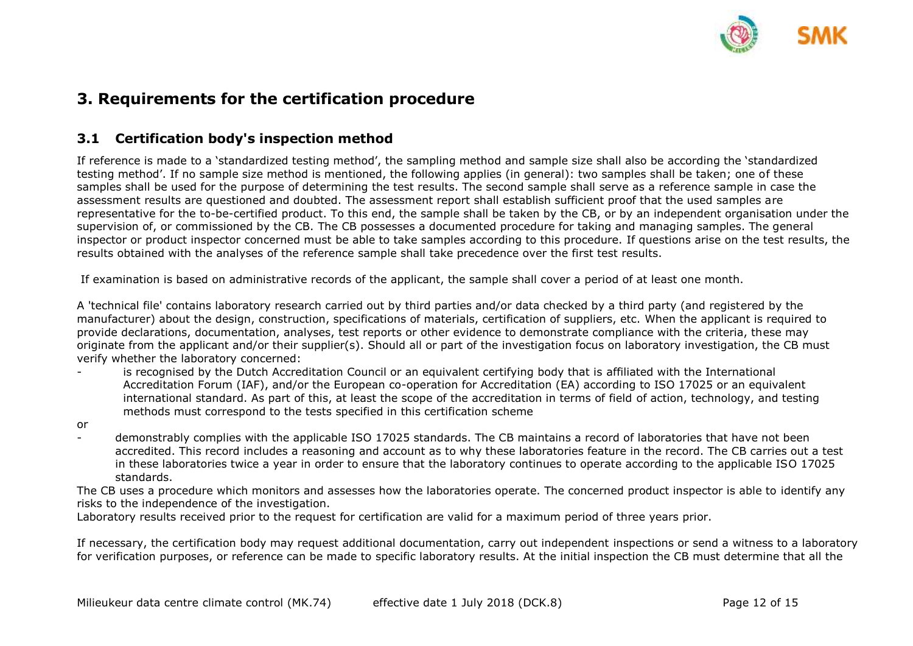

## <span id="page-11-0"></span>**3. Requirements for the certification procedure**

### <span id="page-11-1"></span>**3.1 Certification body's inspection method**

If reference is made to a 'standardized testing method', the sampling method and sample size shall also be according the 'standardized testing method'. If no sample size method is mentioned, the following applies (in general): two samples shall be taken; one of these samples shall be used for the purpose of determining the test results. The second sample shall serve as a reference sample in case the assessment results are questioned and doubted. The assessment report shall establish sufficient proof that the used samples are representative for the to-be-certified product. To this end, the sample shall be taken by the CB, or by an independent organisation under the supervision of, or commissioned by the CB. The CB possesses a documented procedure for taking and managing samples. The general inspector or product inspector concerned must be able to take samples according to this procedure. If questions arise on the test results, the results obtained with the analyses of the reference sample shall take precedence over the first test results.

If examination is based on administrative records of the applicant, the sample shall cover a period of at least one month.

A 'technical file' contains laboratory research carried out by third parties and/or data checked by a third party (and registered by the manufacturer) about the design, construction, specifications of materials, certification of suppliers, etc. When the applicant is required to provide declarations, documentation, analyses, test reports or other evidence to demonstrate compliance with the criteria, these may originate from the applicant and/or their supplier(s). Should all or part of the investigation focus on laboratory investigation, the CB must verify whether the laboratory concerned:

- is recognised by the Dutch Accreditation Council or an equivalent certifying body that is affiliated with the International Accreditation Forum (IAF), and/or the European co-operation for Accreditation (EA) according to ISO 17025 or an equivalent international standard. As part of this, at least the scope of the accreditation in terms of field of action, technology, and testing methods must correspond to the tests specified in this certification scheme
- or
- demonstrably complies with the applicable ISO 17025 standards. The CB maintains a record of laboratories that have not been accredited. This record includes a reasoning and account as to why these laboratories feature in the record. The CB carries out a test in these laboratories twice a year in order to ensure that the laboratory continues to operate according to the applicable ISO 17025 standards.

The CB uses a procedure which monitors and assesses how the laboratories operate. The concerned product inspector is able to identify any risks to the independence of the investigation.

Laboratory results received prior to the request for certification are valid for a maximum period of three years prior.

If necessary, the certification body may request additional documentation, carry out independent inspections or send a witness to a laboratory for verification purposes, or reference can be made to specific laboratory results. At the initial inspection the CB must determine that all the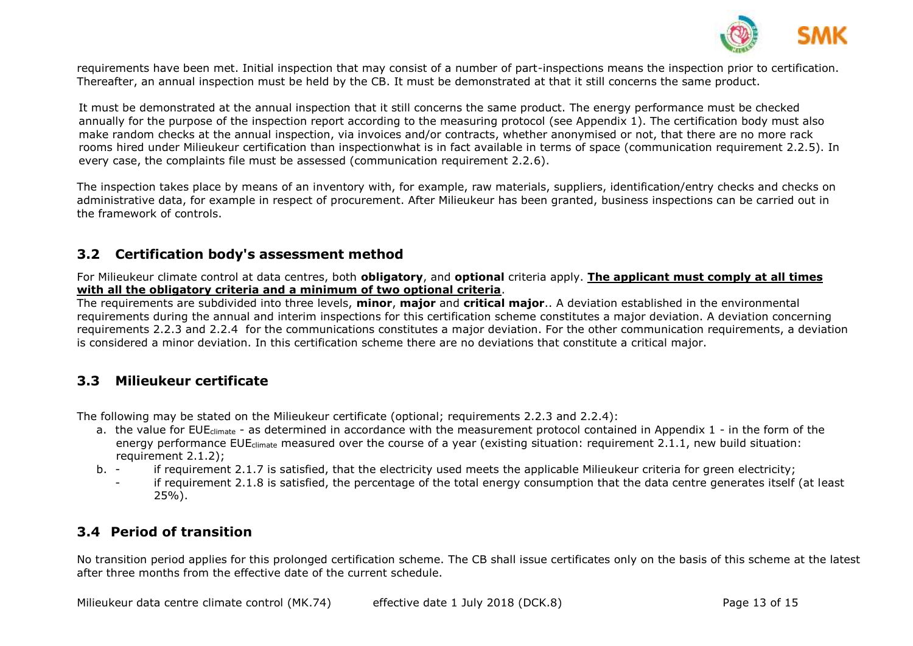

requirements have been met. Initial inspection that may consist of a number of part-inspections means the inspection prior to certification. Thereafter, an annual inspection must be held by the CB. It must be demonstrated at that it still concerns the same product.

It must be demonstrated at the annual inspection that it still concerns the same product. The energy performance must be checked annually for the purpose of the inspection report according to the measuring protocol (see Appendix 1). The certification body must also make random checks at the annual inspection, via invoices and/or contracts, whether anonymised or not, that there are no more rack rooms hired under Milieukeur certification than inspectionwhat is in fact available in terms of space (communication requirement 2.2.5). In every case, the complaints file must be assessed (communication requirement 2.2.6).

The inspection takes place by means of an inventory with, for example, raw materials, suppliers, identification/entry checks and checks on administrative data, for example in respect of procurement. After Milieukeur has been granted, business inspections can be carried out in the framework of controls.

### <span id="page-12-0"></span>**3.2 Certification body's assessment method**

For Milieukeur climate control at data centres, both **obligatory**, and **optional** criteria apply. **The applicant must comply at all times with all the obligatory criteria and a minimum of two optional criteria**.

The requirements are subdivided into three levels, **minor**, **major** and **critical major**.. A deviation established in the environmental requirements during the annual and interim inspections for this certification scheme constitutes a major deviation. A deviation concerning requirements 2.2.3 and 2.2.4 for the communications constitutes a major deviation. For the other communication requirements, a deviation is considered a minor deviation. In this certification scheme there are no deviations that constitute a critical major.

### <span id="page-12-1"></span>**3.3 Milieukeur certificate**

The following may be stated on the Milieukeur certificate (optional; requirements 2.2.3 and 2.2.4):

- a. the value for EUE<sub>climate</sub> as determined in accordance with the measurement protocol contained in Appendix 1 in the form of the energy performance EUE<sub>climate</sub> measured over the course of a year (existing situation: requirement 2.1.1, new build situation: requirement 2.1.2);
- b. if requirement 2.1.7 is satisfied, that the electricity used meets the applicable Milieukeur criteria for green electricity;
	- if requirement 2.1.8 is satisfied, the percentage of the total energy consumption that the data centre generates itself (at least 25%).

### <span id="page-12-2"></span>**3.4 Period of transition**

No transition period applies for this prolonged certification scheme. The CB shall issue certificates only on the basis of this scheme at the latest after three months from the effective date of the current schedule.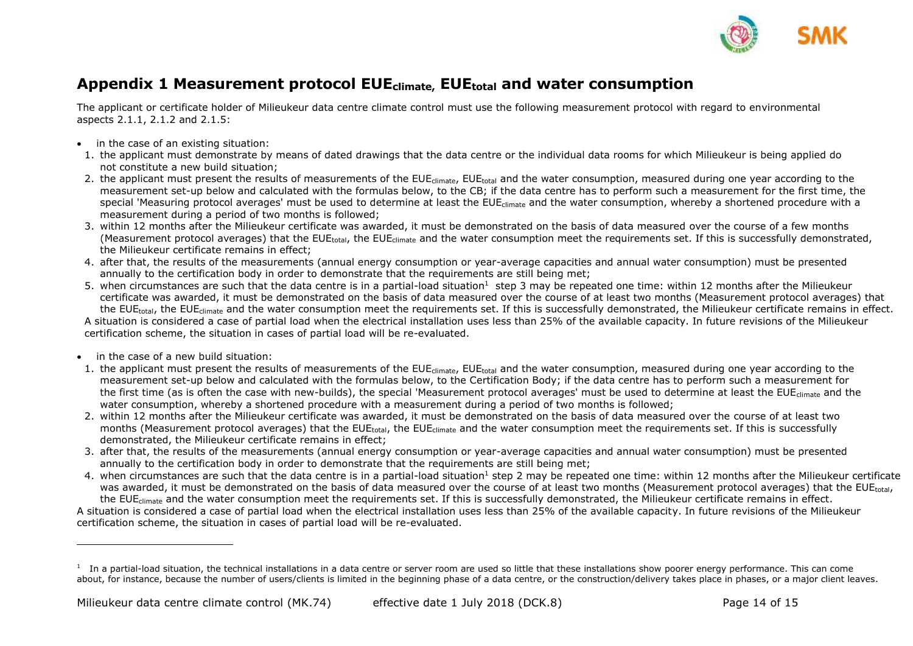

### <span id="page-13-0"></span>**Appendix 1 Measurement protocol EUEclimate, EUEtotal and water consumption**

The applicant or certificate holder of Milieukeur data centre climate control must use the following measurement protocol with regard to environmental aspects 2.1.1, 2.1.2 and 2.1.5:

- in the case of an existing situation:
- 1. the applicant must demonstrate by means of dated drawings that the data centre or the individual data rooms for which Milieukeur is being applied do not constitute a new build situation;
- 2. the applicant must present the results of measurements of the EUE<sub>climate</sub>, EUE<sub>total</sub> and the water consumption, measured during one year according to the measurement set-up below and calculated with the formulas below, to the CB; if the data centre has to perform such a measurement for the first time, the special 'Measuring protocol averages' must be used to determine at least the EUE<sub>climate</sub> and the water consumption, whereby a shortened procedure with a measurement during a period of two months is followed;
- 3. within 12 months after the Milieukeur certificate was awarded, it must be demonstrated on the basis of data measured over the course of a few months (Measurement protocol averages) that the EUE<sub>total</sub>, the EUE<sub>climate</sub> and the water consumption meet the requirements set. If this is successfully demonstrated, the Milieukeur certificate remains in effect;
- 4. after that, the results of the measurements (annual energy consumption or year-average capacities and annual water consumption) must be presented annually to the certification body in order to demonstrate that the requirements are still being met;
- 5. when circumstances are such that the data centre is in a partial-load situation<sup>1</sup> step 3 may be repeated one time: within 12 months after the Milieukeur certificate was awarded, it must be demonstrated on the basis of data measured over the course of at least two months (Measurement protocol averages) that the EUE<sub>total</sub>, the EUE<sub>climate</sub> and the water consumption meet the requirements set. If this is successfully demonstrated, the Milieukeur certificate remains in effect.

A situation is considered a case of partial load when the electrical installation uses less than 25% of the available capacity. In future revisions of the Milieukeur certification scheme, the situation in cases of partial load will be re-evaluated.

• in the case of a new build situation:

-

- 1. the applicant must present the results of measurements of the EUE<sub>climate</sub>, EUE<sub>total</sub> and the water consumption, measured during one year according to the measurement set-up below and calculated with the formulas below, to the Certification Body; if the data centre has to perform such a measurement for the first time (as is often the case with new-builds), the special 'Measurement protocol averages' must be used to determine at least the EUE<sub>climate</sub> and the water consumption, whereby a shortened procedure with a measurement during a period of two months is followed;
- 2. within 12 months after the Milieukeur certificate was awarded, it must be demonstrated on the basis of data measured over the course of at least two months (Measurement protocol averages) that the EUE<sub>total</sub>, the EUE<sub>climate</sub> and the water consumption meet the requirements set. If this is successfully demonstrated, the Milieukeur certificate remains in effect;
- 3. after that, the results of the measurements (annual energy consumption or year-average capacities and annual water consumption) must be presented annually to the certification body in order to demonstrate that the requirements are still being met;
- 4. when circumstances are such that the data centre is in a partial-load situation<sup>1</sup> step 2 may be repeated one time: within 12 months after the Milieukeur certificate was awarded, it must be demonstrated on the basis of data measured over the course of at least two months (Measurement protocol averages) that the EUE<sub>total</sub>, the EUE<sub>climate</sub> and the water consumption meet the requirements set. If this is successfully demonstrated, the Milieukeur certificate remains in effect.

A situation is considered a case of partial load when the electrical installation uses less than 25% of the available capacity. In future revisions of the Milieukeur certification scheme, the situation in cases of partial load will be re-evaluated.

 $1$  In a partial-load situation, the technical installations in a data centre or server room are used so little that these installations show poorer energy performance. This can come about, for instance, because the number of users/clients is limited in the beginning phase of a data centre, or the construction/delivery takes place in phases, or a major client leaves.